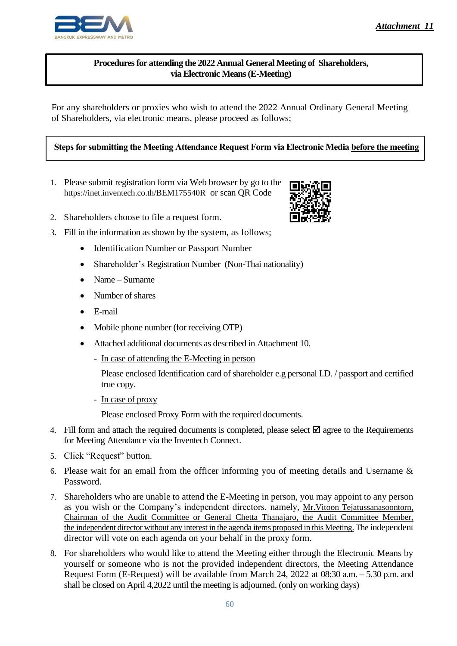# **Procedures for attending the 2022 Annual General Meeting of Shareholders, via Electronic Means (E-Meeting)**

For any shareholders or proxies who wish to attend the 2022 Annual Ordinary General Meeting of Shareholders, via electronic means, please proceed as follows;

## **Steps for submitting the Meeting Attendance Request Form via Electronic Media before the meeting**

- 1. Please submit registration form via Web browser by go to the https://inet.inventech.co.th/BEM175540R or scan QR Code
- 2. Shareholders choose to file a request form.
- 3. Fill in the information as shown by the system, as follows;
	- Identification Number or Passport Number
	- Shareholder's Registration Number (Non-Thai nationality)
	- Name Surname
	- Number of shares
	- E-mail
	- Mobile phone number (for receiving OTP)
	- Attached additional documents as described in Attachment 10.
		- In case of attending the E-Meeting in person
			- Please enclosed Identification card of shareholder e.g personal I.D. / passport and certified true copy.
		- In case of proxy

Please enclosed Proxy Form with the required documents.

- 4. Fill form and attach the required documents is completed, please select  $\boxtimes$  agree to the Requirements for Meeting Attendance via the Inventech Connect.
- 5. Click "Request" button.
- 6. Please wait for an email from the officer informing you of meeting details and Username & Password.
- 7. Shareholders who are unable to attend the E-Meeting in person, you may appoint to any person as you wish or the Company's independent directors, namely, Mr.Vitoon Tejatussanasoontorn, Chairman of the Audit Committee or General Chetta Thanajaro, the Audit Committee Member, the independent director without any interest in the agenda items proposed in this Meeting. The independent director will vote on each agenda on your behalf in the proxy form.
- 8. For shareholders who would like to attend the Meeting either through the Electronic Means by yourself or someone who is not the provided independent directors, the Meeting Attendance Request Form (E-Request) will be available from March 24, 2022 at 08:30 a.m. – 5.30 p.m. and shall be closed on April 4,2022 until the meeting is adjourned. (only on working days)



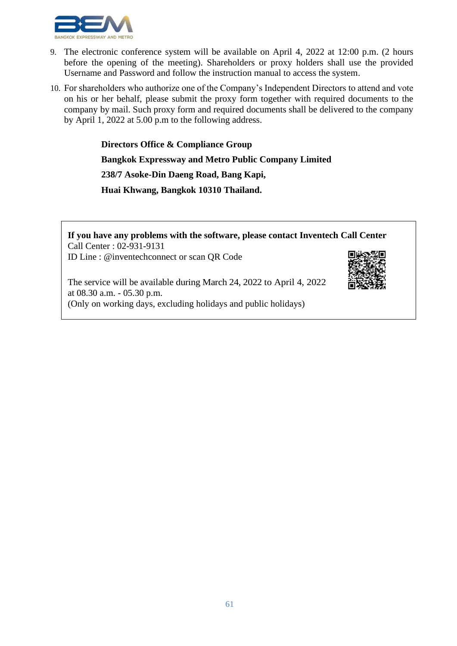

- 9. The electronic conference system will be available on April 4, 2022 at 12:00 p.m. (2 hours before the opening of the meeting). Shareholders or proxy holders shall use the provided Username and Password and follow the instruction manual to access the system.
- 10. For shareholders who authorize one of the Company's Independent Directors to attend and vote on his or her behalf, please submit the proxy form together with required documents to the company by mail. Such proxy form and required documents shall be delivered to the company by April 1, 2022 at 5.00 p.m to the following address.

**Directors Office & Compliance Group**

**Bangkok Expressway and Metro Public Company Limited**

**238/7 Asoke-Din Daeng Road, Bang Kapi,** 

**Huai Khwang, Bangkok 10310 Thailand.**

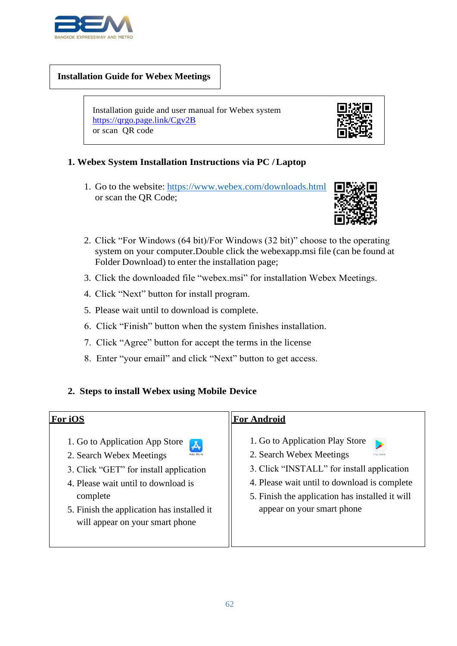

#### **Installation Guide for Webex Meetings**

 Installation guide and user manual for Webex system <https://qrgo.page.link/Cgv2B> or scan QR code



## **1. Webex System Installation Instructions via PC /Laptop**

1. Go to the website: https:/[/www.webex.com/downloads.html](http://www.webex.com/downloads.html) or scan the QR Code;



- 2. Click "For Windows (64 bit)/For Windows (32 bit)" choose to the operating system on your computer.Double click the webexapp.msi file (can be found at Folder Download) to enter the installation page;
- 3. Click the downloaded file "webex.msi" for installation Webex Meetings.
- 4. Click "Next" button for install program.
- 5. Please wait until to download is complete.
- 6. Click "Finish" button when the system finishes installation.
- 7. Click "Agree" button for accept the terms in the license
- 8. Enter "your email" and click "Next" button to get access.

## **2. Steps to install Webex using Mobile Device**

#### **For iOS**

1. Go to Application App Store



- 2. Search Webex Meetings
- 3. Click "GET" for install application
- 4. Please wait until to download is complete
- 5. Finish the application has installed it will appear on your smart phone

#### **For Android**

- 1. Go to Application Play Store
- 2. Search Webex Meetings
- 3. Click "INSTALL" for install application
- 4. Please wait until to download is complete
- 5. Finish the application has installed it will appear on your smart phone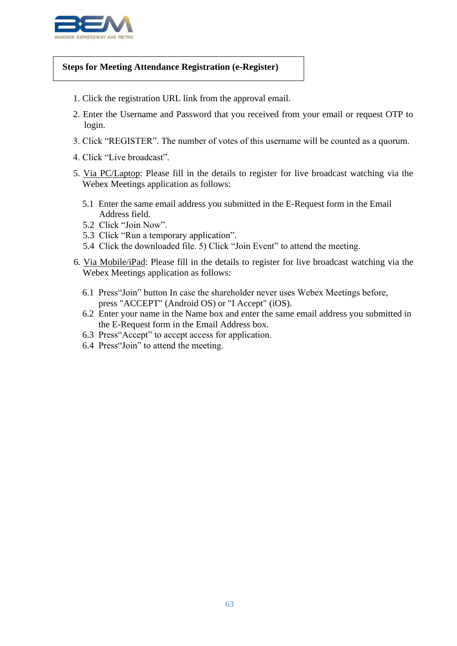

#### **Steps for Meeting Attendance Registration (e-Register)**

- 1. Click the registration URL link from the approval email.
- 2. Enter the Username and Password that you received from your email or request OTP to login.
- 3. Click "REGISTER". The number of votes of this username will be counted as a quorum.
- 4. Click "Live broadcast".
- 5. Via PC/Laptop: Please fill in the details to register for live broadcast watching via the Webex Meetings application as follows:
	- 5.1 Enter the same email address you submitted in the E-Request form in the Email Address field.
	- 5.2 Click "Join Now".
	- 5.3 Click "Run a temporary application".
	- 5.4 Click the downloaded file. 5) Click "Join Event" to attend the meeting.
- 6. Via Mobile/iPad: Please fill in the details to register for live broadcast watching via the Webex Meetings application as follows:
	- 6.1 Press"Join" button In case the shareholder never uses Webex Meetings before, press "ACCEPT" (Android OS) or "I Accept" (iOS).
	- 6.2 Enter your name in the Name box and enter the same email address you submitted in the E-Request form in the Email Address box.
	- 6.3 Press"Accept" to accept access for application.
	- 6.4 Press"Join" to attend the meeting.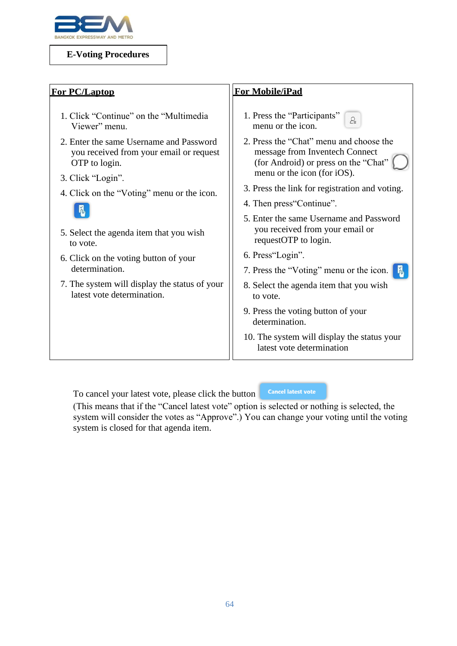

### **E-Voting Procedures**

| <b>For PC/Laptop</b>                                                                                | For Mobile/iPad                                                                                                   |
|-----------------------------------------------------------------------------------------------------|-------------------------------------------------------------------------------------------------------------------|
| 1. Click "Continue" on the "Multimedia"<br>Viewer" menu.                                            | 1. Press the "Participants"<br>$\mathcal{L}$<br>menu or the icon.                                                 |
| 2. Enter the same Username and Password<br>you received from your email or request<br>OTP to login. | 2. Press the "Chat" menu and choose the<br>message from Inventech Connect<br>(for Android) or press on the "Chat" |
| 3. Click "Login".                                                                                   | menu or the icon (for iOS).                                                                                       |
| 4. Click on the "Voting" menu or the icon.                                                          | 3. Press the link for registration and voting.                                                                    |
|                                                                                                     | 4. Then press Continue".                                                                                          |
| 5. Select the agenda item that you wish<br>to vote.                                                 | 5. Enter the same Username and Password<br>you received from your email or<br>requestOTP to login.                |
| 6. Click on the voting button of your                                                               | 6. Press"Login".                                                                                                  |
| determination.                                                                                      | 7. Press the "Voting" menu or the icon.<br>ln.                                                                    |
| 7. The system will display the status of your<br>latest vote determination.                         | 8. Select the agenda item that you wish<br>to vote.                                                               |
|                                                                                                     | 9. Press the voting button of your<br>determination.                                                              |
|                                                                                                     | 10. The system will display the status your<br>latest vote determination                                          |

To cancel your latest vote, please click the button

## **Cancel latest vote**

(This means that if the "Cancel latest vote" option is selected or nothing is selected, the system will consider the votes as "Approve".) You can change your voting until the voting system is closed for that agenda item.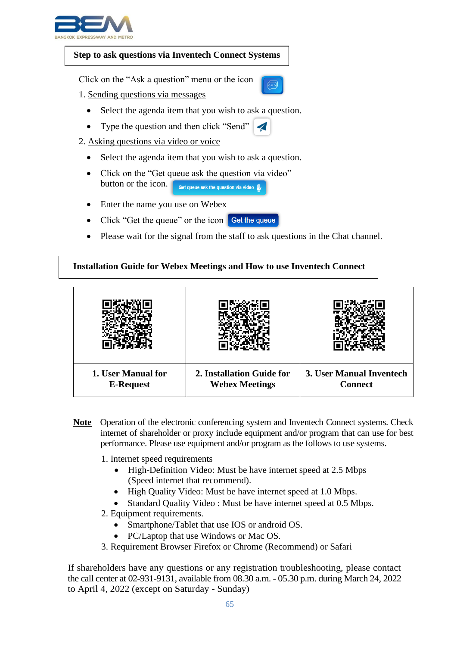

#### **Step to ask questions via Inventech Connect Systems**

Click on the "Ask a question" menu or the icon

- 1. Sending questions via messages
	- Select the agenda item that you wish to ask a question.
	- Type the question and then click "Send"
- 2. Asking questions via video or voice
	- Select the agenda item that you wish to ask a question.
	- Click on the "Get queue ask the question via video" button or the icon. **Get queue ask the question via video**
	- Enter the name you use on Webex
	- Click "Get the queue" or the icon Get the queue
	- Please wait for the signal from the staff to ask questions in the Chat channel.

#### **Installation Guide for Webex Meetings and How to use Inventech Connect**



- **Note** Operation of the electronic conferencing system and Inventech Connect systems. Check internet of shareholder or proxy include equipment and/or program that can use for best performance. Please use equipment and/or program as the follows to use systems.
	- 1. Internet speed requirements
		- High-Definition Video: Must be have internet speed at 2.5 Mbps (Speed internet that recommend).
		- High Quality Video: Must be have internet speed at 1.0 Mbps.
		- Standard Quality Video : Must be have internet speed at 0.5 Mbps.
	- 2. Equipment requirements.
		- Smartphone/Tablet that use IOS or android OS.
		- PC/Laptop that use Windows or Mac OS.
	- 3. Requirement Browser Firefox or Chrome (Recommend) or Safari

If shareholders have any questions or any registration troubleshooting, please contact the call center at 02-931-9131, available from 08.30 a.m. - 05.30 p.m. during March 24, 2022 to April 4, 2022 (except on Saturday - Sunday)